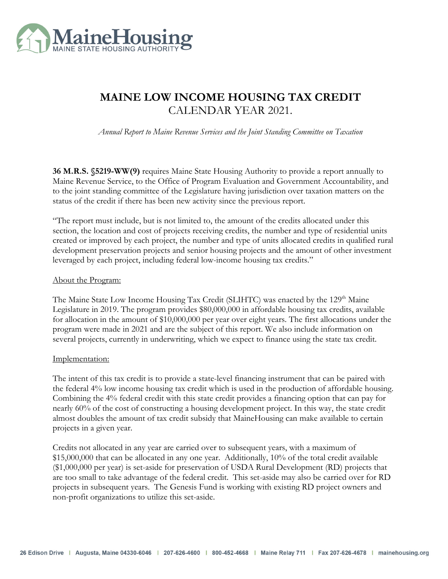

# **MAINE LOW INCOME HOUSING TAX CREDIT**  CALENDAR YEAR 2021.

*Annual Report to Maine Revenue Services and the Joint Standing Committee on Taxation* 

**36 M.R.S. §5219-WW(9)** requires Maine State Housing Authority to provide a report annually to Maine Revenue Service, to the Office of Program Evaluation and Government Accountability, and to the joint standing committee of the Legislature having jurisdiction over taxation matters on the status of the credit if there has been new activity since the previous report.

"The report must include, but is not limited to, the amount of the credits allocated under this section, the location and cost of projects receiving credits, the number and type of residential units created or improved by each project, the number and type of units allocated credits in qualified rural development preservation projects and senior housing projects and the amount of other investment leveraged by each project, including federal low-income housing tax credits."

#### About the Program:

The Maine State Low Income Housing Tax Credit (SLIHTC) was enacted by the 129<sup>th</sup> Maine Legislature in 2019. The program provides \$80,000,000 in affordable housing tax credits, available for allocation in the amount of \$10,000,000 per year over eight years. The first allocations under the program were made in 2021 and are the subject of this report. We also include information on several projects, currently in underwriting, which we expect to finance using the state tax credit.

### Implementation:

The intent of this tax credit is to provide a state-level financing instrument that can be paired with the federal 4% low income housing tax credit which is used in the production of affordable housing. Combining the 4% federal credit with this state credit provides a financing option that can pay for nearly 60% of the cost of constructing a housing development project. In this way, the state credit almost doubles the amount of tax credit subsidy that MaineHousing can make available to certain projects in a given year.

Credits not allocated in any year are carried over to subsequent years, with a maximum of \$15,000,000 that can be allocated in any one year. Additionally, 10% of the total credit available (\$1,000,000 per year) is set-aside for preservation of USDA Rural Development (RD) projects that are too small to take advantage of the federal credit. This set-aside may also be carried over for RD projects in subsequent years. The Genesis Fund is working with existing RD project owners and non-profit organizations to utilize this set-aside.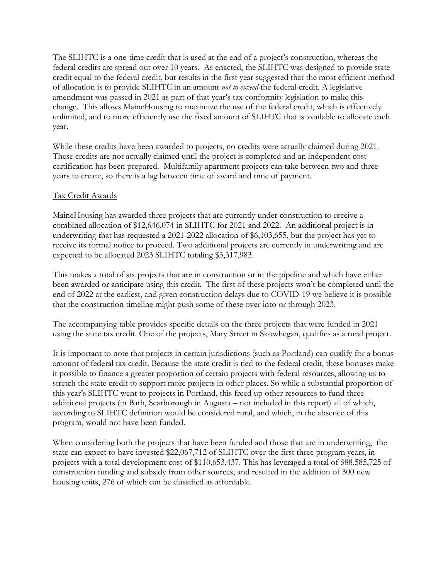The SLIHTC is a one-time credit that is used at the end of a project's construction, whereas the federal credits are spread out over 10 years. As enacted, the SLIHTC was designed to provide state credit equal to the federal credit, but results in the first year suggested that the most efficient method of allocation is to provide SLIHTC in an amount *not to exceed* the federal credit. A legislative amendment was passed in 2021 as part of that year's tax conformity legislation to make this change. This allows MaineHousing to maximize the use of the federal credit, which is effectively unlimited, and to more efficiently use the fixed amount of SLIHTC that is available to allocate each year.

While these credits have been awarded to projects, no credits were actually claimed during 2021. These credits are not actually claimed until the project is completed and an independent cost certification has been prepared. Multifamily apartment projects can take between two and three years to create, so there is a lag between time of award and time of payment.

## Tax Credit Awards

MaineHousing has awarded three projects that are currently under construction to receive a combined allocation of \$12,646,074 in SLIHTC for 2021 and 2022. An additional project is in underwriting that has requested a 2021-2022 allocation of \$6,103,655, but the project has yet to receive its formal notice to proceed. Two additional projects are currently in underwriting and are expected to be allocated 2023 SLIHTC totaling \$3,317,983.

This makes a total of six projects that are in construction or in the pipeline and which have either been awarded or anticipate using this credit. The first of these projects won't be completed until the end of 2022 at the earliest, and given construction delays due to COVID-19 we believe it is possible that the construction timeline might push some of these over into or through 2023.

The accompanying table provides specific details on the three projects that were funded in 2021 using the state tax credit. One of the projects, Mary Street in Skowhegan, qualifies as a rural project.

It is important to note that projects in certain jurisdictions (such as Portland) can qualify for a bonus amount of federal tax credit. Because the state credit is tied to the federal credit, these bonuses make it possible to finance a greater proportion of certain projects with federal resources, allowing us to stretch the state credit to support more projects in other places. So while a substantial proportion of this year's SLIHTC went to projects in Portland, this freed up other resources to fund three additional projects (in Bath, Scarborough in Augusta – not included in this report) all of which, according to SLIHTC definition would be considered rural, and which, in the absence of this program, would not have been funded.

When considering both the projects that have been funded and those that are in underwriting, the state can expect to have invested \$22,067,712 of SLIHTC over the first three program years, in projects with a total development cost of \$110,653,437. This has leveraged a total of \$88,585,725 of construction funding and subsidy from other sources, and resulted in the addition of 300 new housing units, 276 of which can be classified as affordable.